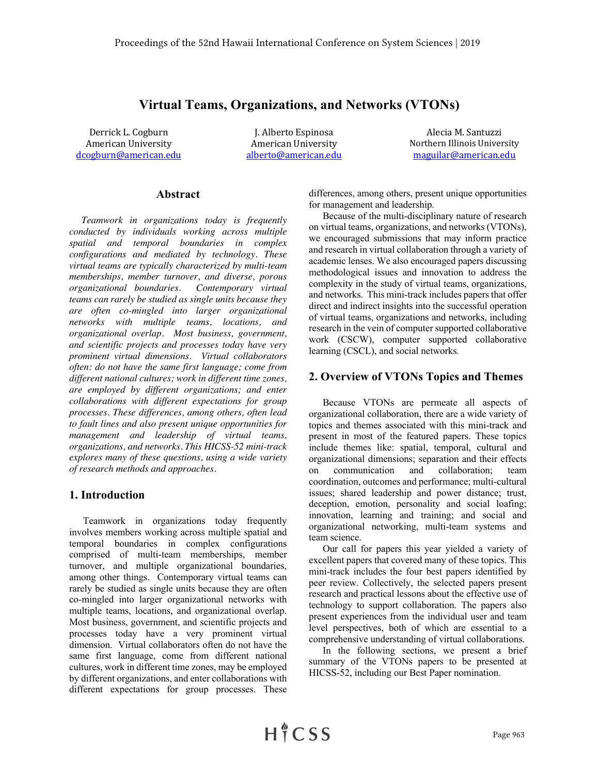## **Virtual Teams, Organizations, and Networks (VTONs)**

Derrick L. Cogburn T. Alberto Espinosa and Alecia M. Santuzzi

American University **American** University **American** University **Northern Illinois** University dcogburn@american.edu alberto@american.edu maguilar@american.edu

### **Abstract**

 *Teamwork in organizations today is frequently conducted by individuals working across multiple spatial and temporal boundaries in complex configurations and mediated by technology. These virtual teams are typically characterized by multi-team memberships, member turnover, and diverse, porous organizational boundaries. Contemporary virtual teams can rarely be studied as single units because they are often co-mingled into larger organizational networks with multiple teams, locations, and organizational overlap. Most business, government, and scientific projects and processes today have very prominent virtual dimensions. Virtual collaborators often: do not have the same first language; come from different national cultures; work in different time zones, are employed by different organizations; and enter collaborations with different expectations for group processes. These differences, among others, often lead to fault lines and also present unique opportunities for management and leadership of virtual teams, organizations, and networks. This HICSS-52 mini-track explores many of these questions, using a wide variety of research methods and approaches.*

#### **1. Introduction**

Teamwork in organizations today frequently involves members working across multiple spatial and temporal boundaries in complex configurations comprised of multi-team memberships, member turnover, and multiple organizational boundaries, among other things. Contemporary virtual teams can rarely be studied as single units because they are often co-mingled into larger organizational networks with multiple teams, locations, and organizational overlap. Most business, government, and scientific projects and processes today have a very prominent virtual dimension. Virtual collaborators often do not have the same first language, come from different national cultures, work in different time zones, may be employed by different organizations, and enter collaborations with different expectations for group processes. These

differences, among others, present unique opportunities for management and leadership.

Because of the multi-disciplinary nature of research on virtual teams, organizations, and networks (VTONs), we encouraged submissions that may inform practice and research in virtual collaboration through a variety of academic lenses. We also encouraged papers discussing methodological issues and innovation to address the complexity in the study of virtual teams, organizations, and networks. This mini-track includes papers that offer direct and indirect insights into the successful operation of virtual teams, organizations and networks, including research in the vein of computer supported collaborative work (CSCW), computer supported collaborative learning (CSCL), and social networks*.*

#### **2. Overview of VTONs Topics and Themes**

Because VTONs are permeate all aspects of organizational collaboration, there are a wide variety of topics and themes associated with this mini-track and present in most of the featured papers. These topics include themes like: spatial, temporal, cultural and organizational dimensions; separation and their effects on communication and collaboration; team coordination, outcomes and performance; multi-cultural issues; shared leadership and power distance; trust, deception, emotion, personality and social loafing; innovation, learning and training; and social and organizational networking, multi-team systems and team science.

Our call for papers this year yielded a variety of excellent papers that covered many of these topics. This mini-track includes the four best papers identified by peer review. Collectively, the selected papers present research and practical lessons about the effective use of technology to support collaboration. The papers also present experiences from the individual user and team level perspectives, both of which are essential to a comprehensive understanding of virtual collaborations.

In the following sections, we present a brief summary of the VTONs papers to be presented at HICSS-52, including our Best Paper nomination.